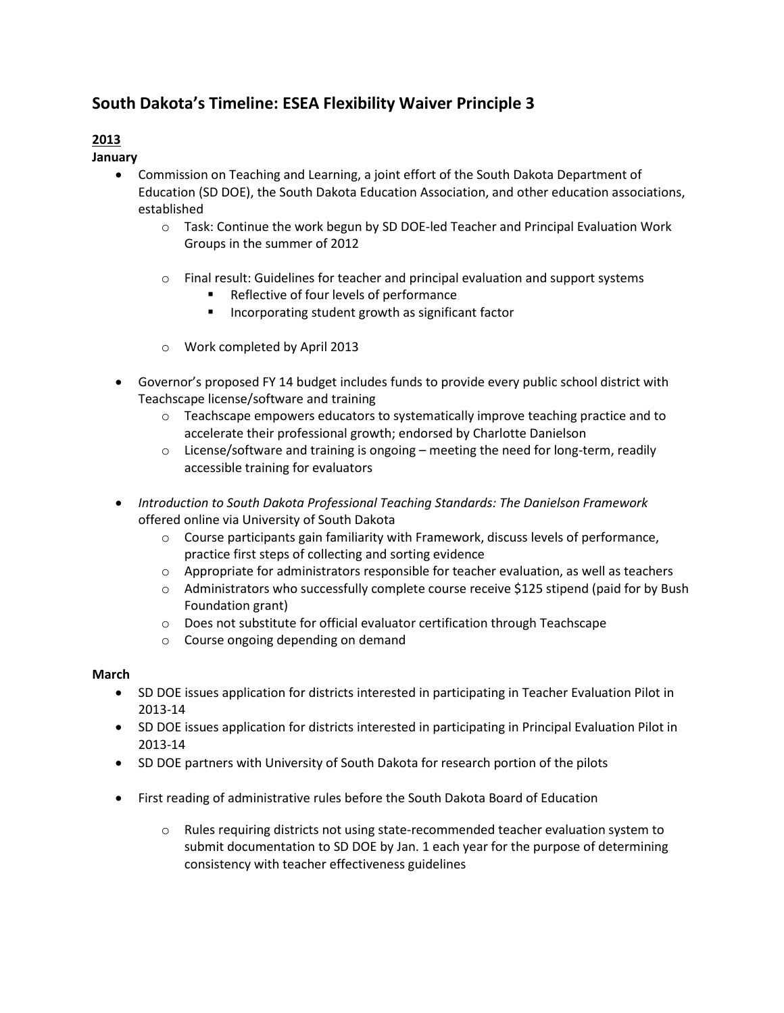# **South Dakota's Timeline: ESEA Flexibility Waiver Principle 3**

# **2013**

**January** 

- Commission on Teaching and Learning, a joint effort of the South Dakota Department of Education (SD DOE), the South Dakota Education Association, and other education associations, established
	- $\circ$  Task: Continue the work begun by SD DOE-led Teacher and Principal Evaluation Work Groups in the summer of 2012
	- $\circ$  Final result: Guidelines for teacher and principal evaluation and support systems
		- Reflective of four levels of performance
		- Incorporating student growth as significant factor
	- o Work completed by April 2013
- Governor's proposed FY 14 budget includes funds to provide every public school district with Teachscape license/software and training
	- $\circ$  Teachscape empowers educators to systematically improve teaching practice and to accelerate their professional growth; endorsed by Charlotte Danielson
	- $\circ$  License/software and training is ongoing meeting the need for long-term, readily accessible training for evaluators
- *Introduction to South Dakota Professional Teaching Standards: The Danielson Framework* offered online via University of South Dakota
	- $\circ$  Course participants gain familiarity with Framework, discuss levels of performance, practice first steps of collecting and sorting evidence
	- $\circ$  Appropriate for administrators responsible for teacher evaluation, as well as teachers
	- o Administrators who successfully complete course receive \$125 stipend (paid for by Bush Foundation grant)
	- o Does not substitute for official evaluator certification through Teachscape
	- o Course ongoing depending on demand

# **March**

- SD DOE issues application for districts interested in participating in Teacher Evaluation Pilot in 2013-14
- SD DOE issues application for districts interested in participating in Principal Evaluation Pilot in 2013-14
- SD DOE partners with University of South Dakota for research portion of the pilots
- First reading of administrative rules before the South Dakota Board of Education
	- $\circ$  Rules requiring districts not using state-recommended teacher evaluation system to submit documentation to SD DOE by Jan. 1 each year for the purpose of determining consistency with teacher effectiveness guidelines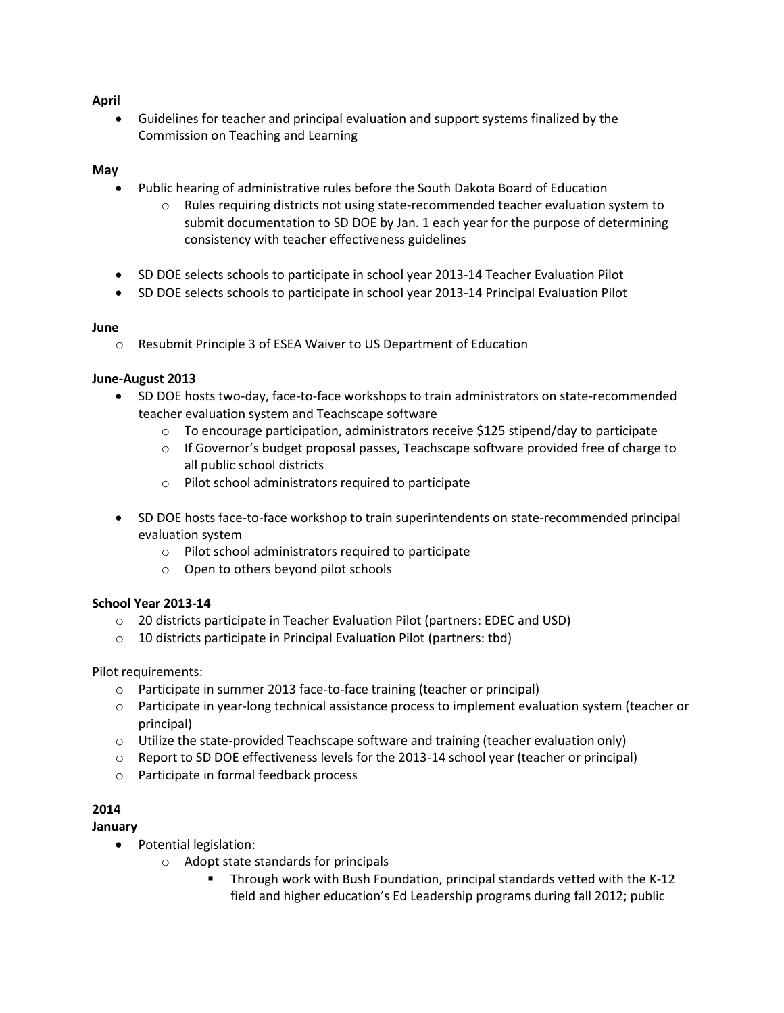# **April**

 Guidelines for teacher and principal evaluation and support systems finalized by the Commission on Teaching and Learning

## **May**

- Public hearing of administrative rules before the South Dakota Board of Education
	- $\circ$  Rules requiring districts not using state-recommended teacher evaluation system to submit documentation to SD DOE by Jan. 1 each year for the purpose of determining consistency with teacher effectiveness guidelines
- SD DOE selects schools to participate in school year 2013-14 Teacher Evaluation Pilot
- SD DOE selects schools to participate in school year 2013-14 Principal Evaluation Pilot

## **June**

o Resubmit Principle 3 of ESEA Waiver to US Department of Education

# **June-August 2013**

- SD DOE hosts two-day, face-to-face workshops to train administrators on state-recommended teacher evaluation system and Teachscape software
	- $\circ$  To encourage participation, administrators receive \$125 stipend/day to participate
	- $\circ$  If Governor's budget proposal passes, Teachscape software provided free of charge to all public school districts
	- o Pilot school administrators required to participate
- SD DOE hosts face-to-face workshop to train superintendents on state-recommended principal evaluation system
	- o Pilot school administrators required to participate
	- o Open to others beyond pilot schools

## **School Year 2013-14**

- o 20 districts participate in Teacher Evaluation Pilot (partners: EDEC and USD)
- o 10 districts participate in Principal Evaluation Pilot (partners: tbd)

Pilot requirements:

- o Participate in summer 2013 face-to-face training (teacher or principal)
- o Participate in year-long technical assistance process to implement evaluation system (teacher or principal)
- $\circ$  Utilize the state-provided Teachscape software and training (teacher evaluation only)
- o Report to SD DOE effectiveness levels for the 2013-14 school year (teacher or principal)
- o Participate in formal feedback process

# **2014**

# **January**

- Potential legislation:
	- o Adopt state standards for principals
		- **Through work with Bush Foundation, principal standards vetted with the K-12** field and higher education's Ed Leadership programs during fall 2012; public